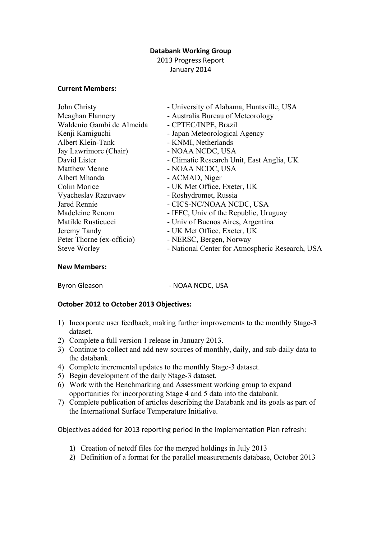## **Databank Working Group**

2013 Progress Report January 2014

### **Current Members:**

| John Christy              | - University of Alabama, Huntsville, USA        |
|---------------------------|-------------------------------------------------|
| Meaghan Flannery          | - Australia Bureau of Meteorology               |
| Waldenio Gambi de Almeida | - CPTEC/INPE, Brazil                            |
| Kenji Kamiguchi           | - Japan Meteorological Agency                   |
| Albert Klein-Tank         | - KNMI, Netherlands                             |
| Jay Lawrimore (Chair)     | - NOAA NCDC, USA                                |
| David Lister              | - Climatic Research Unit, East Anglia, UK       |
| <b>Matthew Menne</b>      | - NOAA NCDC, USA                                |
| Albert Mhanda             | - ACMAD, Niger                                  |
| Colin Morice              | - UK Met Office, Exeter, UK                     |
| Vyacheslav Razuvaev       | - Roshydromet, Russia                           |
| Jared Rennie              | - CICS-NC/NOAA NCDC, USA                        |
| Madeleine Renom           | - IFFC, Univ of the Republic, Uruguay           |
| Matilde Rusticucci        | - Univ of Buenos Aires, Argentina               |
| Jeremy Tandy              | - UK Met Office, Exeter, UK                     |
| Peter Thorne (ex-officio) | - NERSC, Bergen, Norway                         |
| <b>Steve Worley</b>       | - National Center for Atmospheric Research, USA |
|                           |                                                 |

#### **New Members:**

Byron Gleason **Business** - NOAA NCDC, USA

### **October 2012 to October 2013 Objectives:**

- 1) Incorporate user feedback, making further improvements to the monthly Stage-3 dataset.
- 2) Complete a full version 1 release in January 2013.
- 3) Continue to collect and add new sources of monthly, daily, and sub-daily data to the databank.
- 4) Complete incremental updates to the monthly Stage-3 dataset.
- 5) Begin development of the daily Stage-3 dataset.
- 6) Work with the Benchmarking and Assessment working group to expand opportunities for incorporating Stage 4 and 5 data into the databank.
- 7) Complete publication of articles describing the Databank and its goals as part of the International Surface Temperature Initiative.

Objectives added for 2013 reporting period in the Implementation Plan refresh:

- 1) Creation of netcdf files for the merged holdings in July 2013
- 2) Definition of a format for the parallel measurements database, October 2013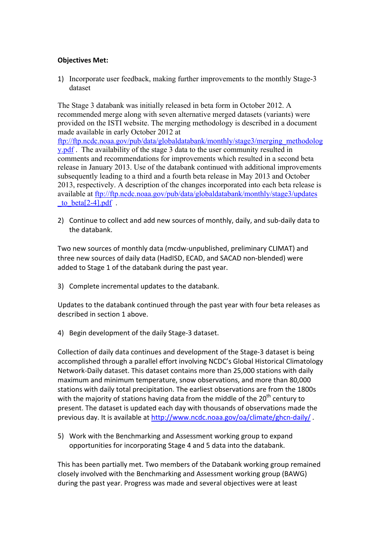## **Objectives Met:**

1) Incorporate user feedback, making further improvements to the monthly Stage-3 dataset

The Stage 3 databank was initially released in beta form in October 2012. A recommended merge along with seven alternative merged datasets (variants) were provided on the ISTI website. The merging methodology is described in a document made available in early October 2012 at

ftp://ftp.ncdc.noaa.gov/pub/data/globaldatabank/monthly/stage3/merging\_methodolog y.pdf . The availability of the stage 3 data to the user community resulted in comments and recommendations for improvements which resulted in a second beta release in January 2013. Use of the databank continued with additional improvements subsequently leading to a third and a fourth beta release in May 2013 and October 2013, respectively. A description of the changes incorporated into each beta release is available at ftp://ftp.ncdc.noaa.gov/pub/data/globaldatabank/monthly/stage3/updates to beta[ $2-4$ ].pdf .

2) Continue to collect and add new sources of monthly, daily, and sub-daily data to the databank.

Two new sources of monthly data (mcdw-unpublished, preliminary CLIMAT) and three new sources of daily data (HadISD, ECAD, and SACAD non-blended) were added to Stage 1 of the databank during the past year.

3) Complete incremental updates to the databank.

Updates to the databank continued through the past year with four beta releases as described in section 1 above.

4) Begin development of the daily Stage-3 dataset.

Collection of daily data continues and development of the Stage-3 dataset is being accomplished through a parallel effort involving NCDC's Global Historical Climatology Network-Daily dataset. This dataset contains more than 25,000 stations with daily maximum and minimum temperature, snow observations, and more than 80,000 stations with daily total precipitation. The earliest observations are from the 1800s with the majority of stations having data from the middle of the  $20<sup>th</sup>$  century to present. The dataset is updated each day with thousands of observations made the previous day. It is available at http://www.ncdc.noaa.gov/oa/climate/ghcn-daily/.

5) Work with the Benchmarking and Assessment working group to expand opportunities for incorporating Stage 4 and 5 data into the databank.

This has been partially met. Two members of the Databank working group remained closely involved with the Benchmarking and Assessment working group (BAWG) during the past year. Progress was made and several objectives were at least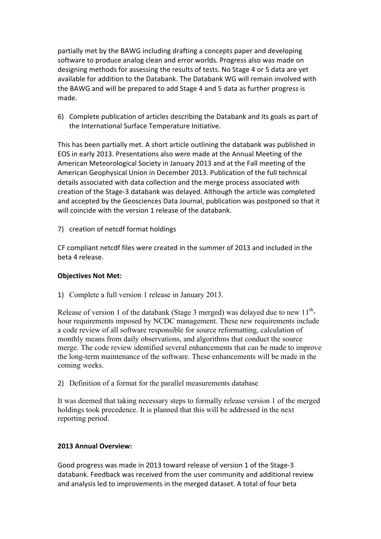partially met by the BAWG including drafting a concepts paper and developing software to produce analog clean and error worlds. Progress also was made on designing methods for assessing the results of tests. No Stage 4 or 5 data are vet available for addition to the Databank. The Databank WG will remain involved with the BAWG and will be prepared to add Stage 4 and 5 data as further progress is made.

6) Complete publication of articles describing the Databank and its goals as part of the International Surface Temperature Initiative.

This has been partially met. A short article outlining the databank was published in EOS in early 2013. Presentations also were made at the Annual Meeting of the American Meteorological Society in January 2013 and at the Fall meeting of the American Geophysical Union in December 2013. Publication of the full technical details associated with data collection and the merge process associated with creation of the Stage-3 databank was delayed. Although the article was completed and accepted by the Geosciences Data Journal, publication was postponed so that it will coincide with the version 1 release of the databank.

7) creation of netcdf format holdings

CF compliant netcdf files were created in the summer of 2013 and included in the beta 4 release.

### **Objectives Not Met:**

1) Complete a full version 1 release in January 2013.

Release of version 1 of the databank (Stage 3 merged) was delayed due to new  $11<sup>th</sup>$ hour requirements imposed by NCDC management. These new requirements include a code review of all software responsible for source reformatting, calculation of monthly means from daily observations, and algorithms that conduct the source merge. The code review identified several enhancements that can be made to improve the long-term maintenance of the software. These enhancements will be made in the coming weeks.

2) Definition of a format for the parallel measurements database

It was deemed that taking necessary steps to formally release version 1 of the merged holdings took precedence. It is planned that this will be addressed in the next reporting period.

## **2013 Annual Overview:**

Good progress was made in 2013 toward release of version 1 of the Stage-3 databank. Feedback was received from the user community and additional review and analysis led to improvements in the merged dataset. A total of four beta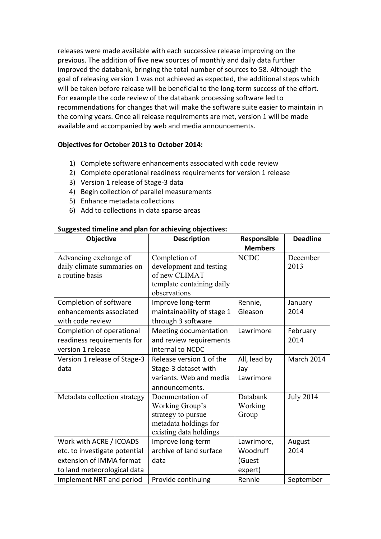releases were made available with each successive release improving on the previous. The addition of five new sources of monthly and daily data further improved the databank, bringing the total number of sources to 58. Although the goal of releasing version 1 was not achieved as expected, the additional steps which will be taken before release will be beneficial to the long-term success of the effort. For example the code review of the databank processing software led to recommendations for changes that will make the software suite easier to maintain in the coming years. Once all release requirements are met, version 1 will be made available and accompanied by web and media announcements.

# **Objectives for October 2013 to October 2014:**

- 1) Complete software enhancements associated with code review
- 2) Complete operational readiness requirements for version 1 release
- 3) Version 1 release of Stage-3 data
- 4) Begin collection of parallel measurements
- 5) Enhance metadata collections
- 6) Add to collections in data sparse areas

#### **Suggested timeline and plan for achieving objectives:**

| <b>Objective</b>                                                                                                    | <b>Description</b>                                                                                           | Responsible<br><b>Members</b>               | <b>Deadline</b>  |
|---------------------------------------------------------------------------------------------------------------------|--------------------------------------------------------------------------------------------------------------|---------------------------------------------|------------------|
| Advancing exchange of<br>daily climate summaries on<br>a routine basis                                              | Completion of<br>development and testing<br>of new CLIMAT<br>template containing daily<br>observations       | <b>NCDC</b>                                 | December<br>2013 |
| Completion of software<br>enhancements associated<br>with code review                                               | Improve long-term<br>maintainability of stage 1<br>through 3 software                                        | Rennie,<br>Gleason                          | January<br>2014  |
| Completion of operational<br>readiness requirements for<br>version 1 release                                        | Meeting documentation<br>and review requirements<br>internal to NCDC                                         | Lawrimore                                   | February<br>2014 |
| Version 1 release of Stage-3<br>data                                                                                | Release version 1 of the<br>Stage-3 dataset with<br>variants. Web and media<br>announcements.                | All, lead by<br>Jay<br>Lawrimore            | March 2014       |
| Metadata collection strategy                                                                                        | Documentation of<br>Working Group's<br>strategy to pursue<br>metadata holdings for<br>existing data holdings | Databank<br>Working<br>Group                | <b>July 2014</b> |
| Work with ACRE / ICOADS<br>etc. to investigate potential<br>extension of IMMA format<br>to land meteorological data | Improve long-term<br>archive of land surface<br>data                                                         | Lawrimore,<br>Woodruff<br>(Guest<br>expert) | August<br>2014   |
| Implement NRT and period                                                                                            | Provide continuing                                                                                           | Rennie                                      | September        |